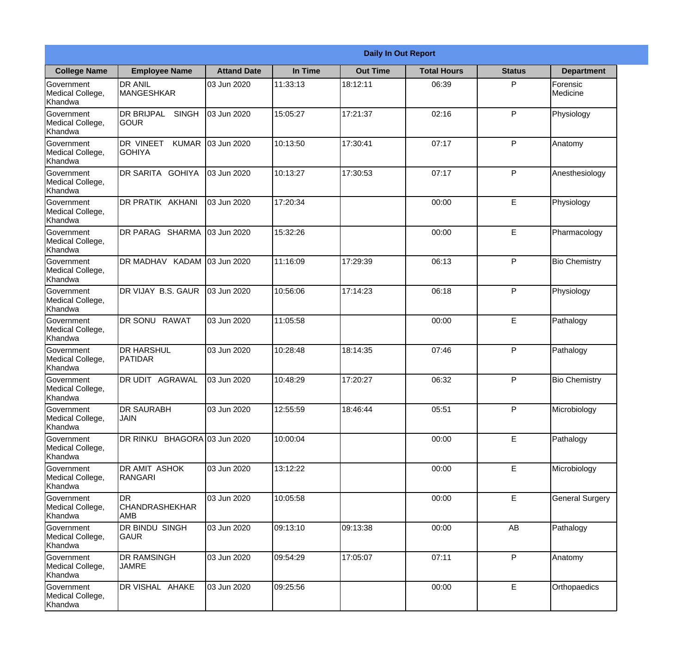|                                                  |                                                   |                    |          | <b>Daily In Out Report</b> |                    |               |                        |  |
|--------------------------------------------------|---------------------------------------------------|--------------------|----------|----------------------------|--------------------|---------------|------------------------|--|
| <b>College Name</b>                              | <b>Employee Name</b>                              | <b>Attand Date</b> | In Time  | <b>Out Time</b>            | <b>Total Hours</b> | <b>Status</b> | <b>Department</b>      |  |
| Government<br>Medical College,<br>Khandwa        | <b>DR ANIL</b><br><b>MANGESHKAR</b>               | 03 Jun 2020        | 11:33:13 | 18:12:11                   | 06:39              | P             | Forensic<br>Medicine   |  |
| Government<br>Medical College,<br>Khandwa        | <b>DR BRIJPAL</b><br><b>SINGH</b><br> GOUR        | 03 Jun 2020        | 15:05:27 | 17:21:37                   | 02:16              | P             | Physiology             |  |
| <b>Government</b><br>Medical College,<br>Khandwa | <b>DR VINEET</b><br><b>KUMAR</b><br><b>GOHIYA</b> | 03 Jun 2020        | 10:13:50 | 17:30:41                   | 07:17              | P             | Anatomy                |  |
| <b>Government</b><br>Medical College,<br>Khandwa | <b>DR SARITA GOHIYA</b>                           | 03 Jun 2020        | 10:13:27 | 17:30:53                   | 07:17              | P             | Anesthesiology         |  |
| Government<br>Medical College,<br>Khandwa        | DR PRATIK AKHANI                                  | 03 Jun 2020        | 17:20:34 |                            | 00:00              | E             | Physiology             |  |
| Government<br>Medical College,<br>Khandwa        | DR PARAG SHARMA                                   | 03 Jun 2020        | 15:32:26 |                            | 00:00              | E             | Pharmacology           |  |
| <b>Government</b><br>Medical College,<br>Khandwa | DR MADHAV KADAM 03 Jun 2020                       |                    | 11:16:09 | 17:29:39                   | 06:13              | P             | <b>Bio Chemistry</b>   |  |
| <b>Government</b><br>Medical College,<br>Khandwa | DR VIJAY B.S. GAUR                                | 03 Jun 2020        | 10:56:06 | 17:14:23                   | 06:18              | P             | Physiology             |  |
| Government<br>Medical College,<br>Khandwa        | DR SONU RAWAT                                     | 03 Jun 2020        | 11:05:58 |                            | 00:00              | E             | Pathalogy              |  |
| Government<br>Medical College,<br>Khandwa        | <b>DR HARSHUL</b><br>PATIDAR                      | 03 Jun 2020        | 10:28:48 | 18:14:35                   | 07:46              | P             | Pathalogy              |  |
| Government<br>Medical College,<br>Khandwa        | IDR UDIT<br><b>AGRAWAL</b>                        | 03 Jun 2020        | 10:48:29 | 17:20:27                   | 06:32              | P             | <b>Bio Chemistry</b>   |  |
| Government<br>Medical College,<br>Khandwa        | <b>DR SAURABH</b><br><b>JAIN</b>                  | 03 Jun 2020        | 12:55:59 | 18:46:44                   | 05:51              | P             | Microbiology           |  |
| Government<br>Medical College,<br>Khandwa        | DR RINKU BHAGORA 03 Jun 2020                      |                    | 10:00:04 |                            | 00:00              | E             | Pathalogy              |  |
| Government<br>Medical College,<br>Khandwa        | DR AMIT ASHOK<br>RANGARI                          | 03 Jun 2020        | 13:12:22 |                            | 00:00              | $\mathsf E$   | Microbiology           |  |
| Government<br>Medical College,<br>Khandwa        | IDR.<br><b>CHANDRASHEKHAR</b><br><b>AMB</b>       | 03 Jun 2020        | 10:05:58 |                            | 00:00              | E             | <b>General Surgery</b> |  |
| Government<br>Medical College,<br>Khandwa        | DR BINDU SINGH<br><b>GAUR</b>                     | 03 Jun 2020        | 09:13:10 | 09:13:38                   | 00:00              | AB            | Pathalogy              |  |
| Government<br>Medical College,<br>Khandwa        | <b>DR RAMSINGH</b><br><b>JAMRE</b>                | 03 Jun 2020        | 09:54:29 | 17:05:07                   | 07:11              | P             | Anatomy                |  |
| Government<br>Medical College,<br>Khandwa        | DR VISHAL AHAKE                                   | 03 Jun 2020        | 09:25:56 |                            | 00:00              | $\mathsf E$   | Orthopaedics           |  |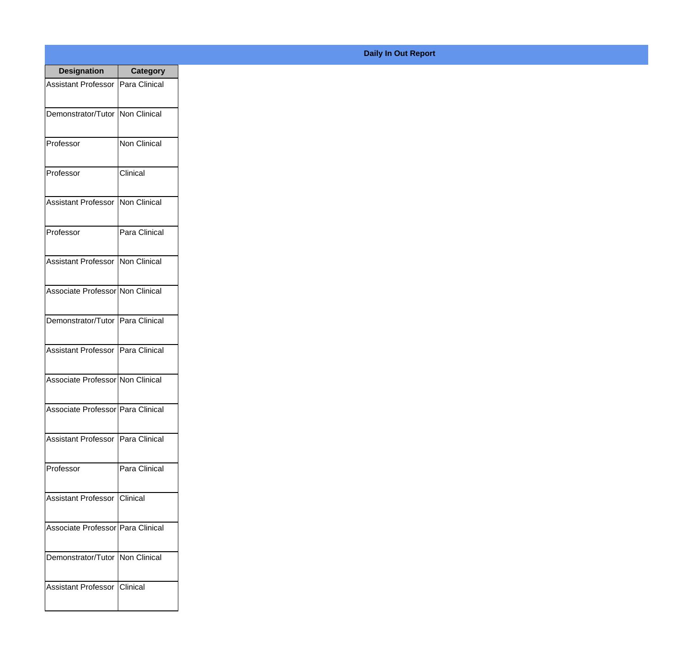| <b>Designation</b>                  | <b>Category</b>     |
|-------------------------------------|---------------------|
| <b>Assistant Professor</b>          | Para Clinical       |
| Demonstrator/Tutor   Non Clinical   |                     |
| Professor                           | <b>Non Clinical</b> |
| Professor                           | Clinical            |
| <b>Assistant Professor</b>          | Non Clinical        |
| Professor                           | Para Clinical       |
| <b>Assistant Professor</b>          | Non Clinical        |
| Associate Professor Non Clinical    |                     |
| Demonstrator/Tutor   Para Clinical  |                     |
| <b>Assistant Professor</b>          | Para Clinical       |
| Associate Professor Non Clinical    |                     |
| Associate Professor   Para Clinical |                     |
| Assistant Professor   Para Clinical |                     |
| Professor                           | Para Clinical       |
| <b>Assistant Professor</b>          | <b>Clinical</b>     |
| Associate Professor   Para Clinical |                     |
| Demonstrator/Tutor                  | Non Clinical        |
| <b>Assistant Professor</b>          | <b>Clinical</b>     |

## **Daily In Out Report**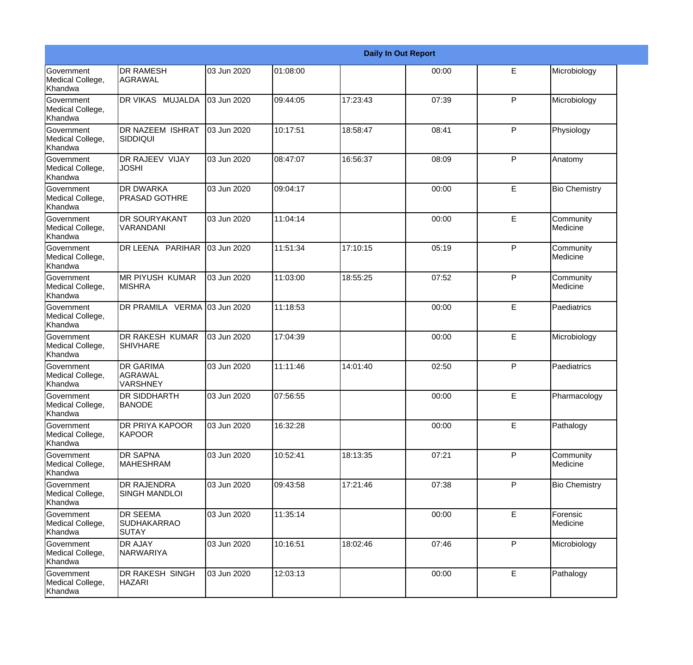|                                                  |                                                       |             |          |          | <b>Daily In Out Report</b> |              |                       |
|--------------------------------------------------|-------------------------------------------------------|-------------|----------|----------|----------------------------|--------------|-----------------------|
| Government<br>Medical College,<br>Khandwa        | <b>DR RAMESH</b><br><b>AGRAWAL</b>                    | 03 Jun 2020 | 01:08:00 |          | 00:00                      | E            | Microbiology          |
| <b>Government</b><br>Medical College,<br>Khandwa | DR VIKAS MUJALDA                                      | 03 Jun 2020 | 09:44:05 | 17:23:43 | 07:39                      | $\mathsf{P}$ | Microbiology          |
| Government<br>Medical College,<br>Khandwa        | <b>DR NAZEEM ISHRAT</b><br><b>SIDDIQUI</b>            | 03 Jun 2020 | 10:17:51 | 18:58:47 | 08:41                      | P            | Physiology            |
| Government<br>Medical College,<br>Khandwa        | <b>DR RAJEEV VIJAY</b><br><b>JOSHI</b>                | 03 Jun 2020 | 08:47:07 | 16:56:37 | 08:09                      | P            | Anatomy               |
| Government<br>Medical College,<br>Khandwa        | <b>DR DWARKA</b><br><b>PRASAD GOTHRE</b>              | 03 Jun 2020 | 09:04:17 |          | 00:00                      | E            | <b>Bio Chemistry</b>  |
| Government<br>Medical College,<br>Khandwa        | <b>DR SOURYAKANT</b><br>VARANDANI                     | 03 Jun 2020 | 11:04:14 |          | 00:00                      | E            | Community<br>Medicine |
| Government<br>Medical College,<br>Khandwa        | DR LEENA PARIHAR                                      | 03 Jun 2020 | 11:51:34 | 17:10:15 | 05:19                      | P            | Community<br>Medicine |
| Government<br>Medical College,<br>Khandwa        | <b>MR PIYUSH KUMAR</b><br><b>MISHRA</b>               | 03 Jun 2020 | 11:03:00 | 18:55:25 | 07:52                      | P            | Community<br>Medicine |
| Government<br>Medical College,<br>Khandwa        | DR PRAMILA VERMA 03 Jun 2020                          |             | 11:18:53 |          | 00:00                      | E            | Paediatrics           |
| Government<br>Medical College,<br>Khandwa        | DR RAKESH KUMAR<br><b>SHIVHARE</b>                    | 03 Jun 2020 | 17:04:39 |          | 00:00                      | E            | Microbiology          |
| Government<br>Medical College,<br>Khandwa        | <b>DR GARIMA</b><br><b>AGRAWAL</b><br><b>VARSHNEY</b> | 03 Jun 2020 | 11:11:46 | 14:01:40 | 02:50                      | P            | Paediatrics           |
| Government<br>Medical College,<br>Khandwa        | <b>DR SIDDHARTH</b><br><b>BANODE</b>                  | 03 Jun 2020 | 07:56:55 |          | 00:00                      | E            | Pharmacology          |
| Government<br>Medical College,<br>Khandwa        | DR PRIYA KAPOOR<br>KAPOOR                             | 03 Jun 2020 | 16:32:28 |          | 00:00                      | E            | Pathalogy             |
| Government<br>Medical College,<br>Khandwa        | <b>DR SAPNA</b><br><b>MAHESHRAM</b>                   | 03 Jun 2020 | 10:52:41 | 18:13:35 | 07:21                      | $\mathsf{P}$ | Community<br>Medicine |
| Government<br>Medical College,<br>Khandwa        | <b>DR RAJENDRA</b><br><b>SINGH MANDLOI</b>            | 03 Jun 2020 | 09:43:58 | 17:21:46 | 07:38                      | P            | <b>Bio Chemistry</b>  |
| Government<br>Medical College,<br>Khandwa        | <b>DR SEEMA</b><br><b>SUDHAKARRAO</b><br><b>SUTAY</b> | 03 Jun 2020 | 11:35:14 |          | 00:00                      | E            | Forensic<br>Medicine  |
| Government<br>Medical College,<br>Khandwa        | <b>DR AJAY</b><br><b>NARWARIYA</b>                    | 03 Jun 2020 | 10:16:51 | 18:02:46 | 07:46                      | P            | Microbiology          |
| Government<br>Medical College,<br>Khandwa        | DR RAKESH SINGH<br><b>HAZARI</b>                      | 03 Jun 2020 | 12:03:13 |          | 00:00                      | E            | Pathalogy             |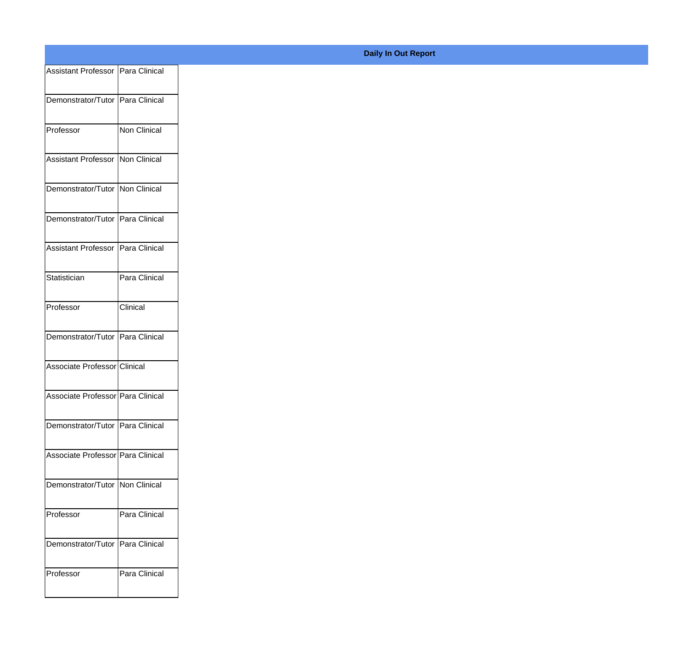| Assistant Professor   Para Clinical |               |
|-------------------------------------|---------------|
| Demonstrator/Tutor Para Clinical    |               |
| Professor                           | Non Clinical  |
| Assistant Professor Non Clinical    |               |
| Demonstrator/Tutor Non Clinical     |               |
|                                     |               |
| Demonstrator/Tutor Para Clinical    |               |
| Assistant Professor   Para Clinical |               |
| Statistician                        | Para Clinical |
| Professor                           | Clinical      |
| Demonstrator/Tutor Para Clinical    |               |
| Associate Professor Clinical        |               |
| Associate Professor Para Clinical   |               |
| Demonstrator/Tutor Para Clinical    |               |
| Associate Professor Para Clinical   |               |
| Demonstrator/Tutor Non Clinical     |               |
| Professor                           | Para Clinical |
| Demonstrator/Tutor Para Clinical    |               |
| Professor                           | Para Clinical |
|                                     |               |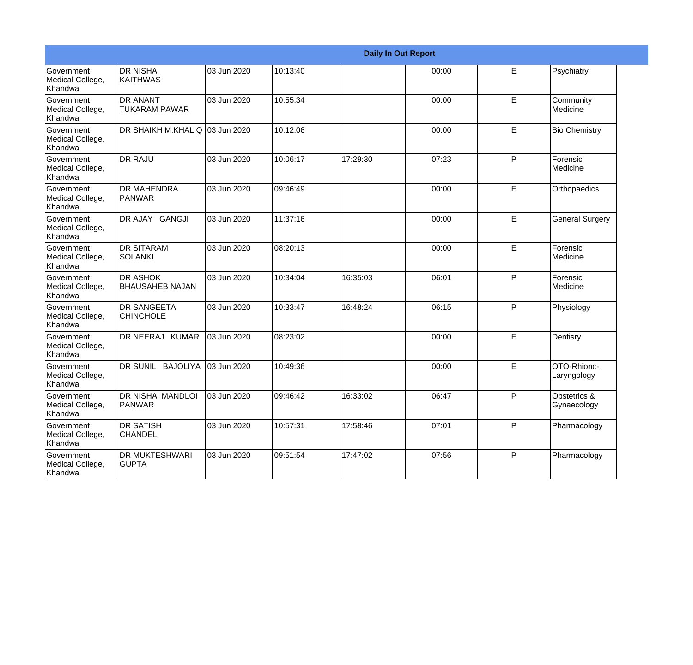|                                                         |                                           | <b>Daily In Out Report</b> |          |          |       |   |                             |  |
|---------------------------------------------------------|-------------------------------------------|----------------------------|----------|----------|-------|---|-----------------------------|--|
| Government<br>Medical College,<br>Khandwa               | <b>DR NISHA</b><br><b>KAITHWAS</b>        | 03 Jun 2020                | 10:13:40 |          | 00:00 | E | Psychiatry                  |  |
| Government<br>Medical College,<br>Khandwa               | <b>DR ANANT</b><br><b>TUKARAM PAWAR</b>   | 03 Jun 2020                | 10:55:34 |          | 00:00 | E | Community<br>Medicine       |  |
| <b>Government</b><br>Medical College,<br>Khandwa        | DR SHAIKH M.KHALIQ 03 Jun 2020            |                            | 10:12:06 |          | 00:00 | E | <b>Bio Chemistry</b>        |  |
| Government<br>Medical College,<br>Khandwa               | <b>DR RAJU</b>                            | 03 Jun 2020                | 10:06:17 | 17:29:30 | 07:23 | P | Forensic<br>Medicine        |  |
| Government<br>Medical College,<br>Khandwa               | <b>DR MAHENDRA</b><br>PANWAR              | 03 Jun 2020                | 09:46:49 |          | 00:00 | E | Orthopaedics                |  |
| Government<br>Medical College,<br>Khandwa               | DR AJAY GANGJI                            | 03 Jun 2020                | 11:37:16 |          | 00:00 | E | <b>General Surgery</b>      |  |
| <b>Government</b><br>Medical College,<br>Khandwa        | <b>I</b> DR SITARAM<br><b>SOLANKI</b>     | 03 Jun 2020                | 08:20:13 |          | 00:00 | E | Forensic<br>Medicine        |  |
| Government<br>Medical College,<br>Khandwa               | <b>DR ASHOK</b><br><b>BHAUSAHEB NAJAN</b> | 03 Jun 2020                | 10:34:04 | 16:35:03 | 06:01 | P | Forensic<br>Medicine        |  |
| Government<br>Medical College,<br>Khandwa               | <b>DR SANGEETA</b><br><b>CHINCHOLE</b>    | 03 Jun 2020                | 10:33:47 | 16:48:24 | 06:15 | P | Physiology                  |  |
| Government<br>Medical College,<br>Khandwa               | DR NEERAJ KUMAR                           | 03 Jun 2020                | 08:23:02 |          | 00:00 | E | Dentisry                    |  |
| <b>Government</b><br>Medical College,<br><b>Khandwa</b> | DR SUNIL BAJOLIYA                         | 03 Jun 2020                | 10:49:36 |          | 00:00 | E | OTO-Rhiono-<br>Laryngology  |  |
| Government<br>Medical College,<br>Khandwa               | <b>DR NISHA MANDLOI</b><br><b>PANWAR</b>  | 03 Jun 2020                | 09:46:42 | 16:33:02 | 06:47 | P | Obstetrics &<br>Gynaecology |  |
| Government<br>Medical College,<br>Khandwa               | <b>DR SATISH</b><br><b>CHANDEL</b>        | 03 Jun 2020                | 10:57:31 | 17:58:46 | 07:01 | P | Pharmacology                |  |
| Government<br>Medical College,<br>Khandwa               | <b>DR MUKTESHWARI</b><br><b>GUPTA</b>     | 03 Jun 2020                | 09:51:54 | 17:47:02 | 07:56 | P | Pharmacology                |  |